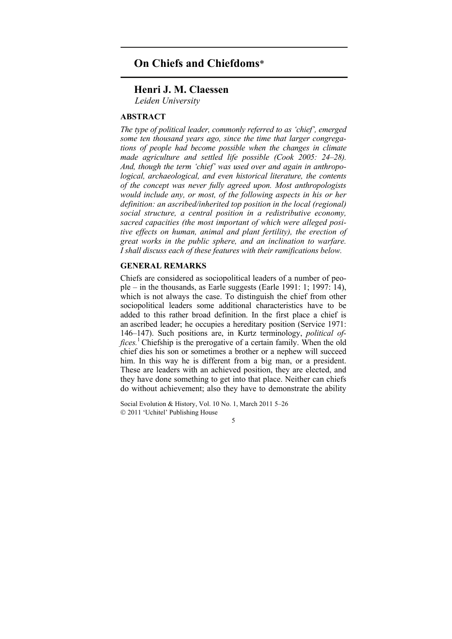# **On Chiefs and Chiefdoms**\*

# **Henri J. M. Claessen**

*Leiden University* 

# **ABSTRACT**

*The type of political leader, commonly referred to as 'chief', emerged some ten thousand years ago, since the time that larger congregations of people had become possible when the changes in climate made agriculture and settled life possible (Cook 2005: 24–28). And, though the term 'chief' was used over and again in anthropological, archaeological, and even historical literature, the contents of the concept was never fully agreed upon. Most anthropologists would include any, or most, of the following aspects in his or her definition: an ascribed/inherited top position in the local (regional) social structure, a central position in a redistributive economy, sacred capacities (the most important of which were alleged positive effects on human, animal and plant fertility), the erection of great works in the public sphere, and an inclination to warfare. I shall discuss each of these features with their ramifications below.* 

# **GENERAL REMARKS**

Chiefs are considered as sociopolitical leaders of a number of people – in the thousands, as Earle suggests (Earle 1991: 1: 1997: 14). which is not always the case. To distinguish the chief from other sociopolitical leaders some additional characteristics have to be added to this rather broad definition. In the first place a chief is an ascribed leader; he occupies a hereditary position (Service 1971: 146–147). Such positions are, in Kurtz terminology, *political offices.*<sup>1</sup> Chiefship is the prerogative of a certain family. When the old chief dies his son or sometimes a brother or a nephew will succeed him. In this way he is different from a big man, or a president. These are leaders with an achieved position, they are elected, and they have done something to get into that place. Neither can chiefs do without achievement; also they have to demonstrate the ability

Social Evolution & History, Vol. 10 No. 1, March 2011 5–26 2011 'Uchitel' Publishing House

5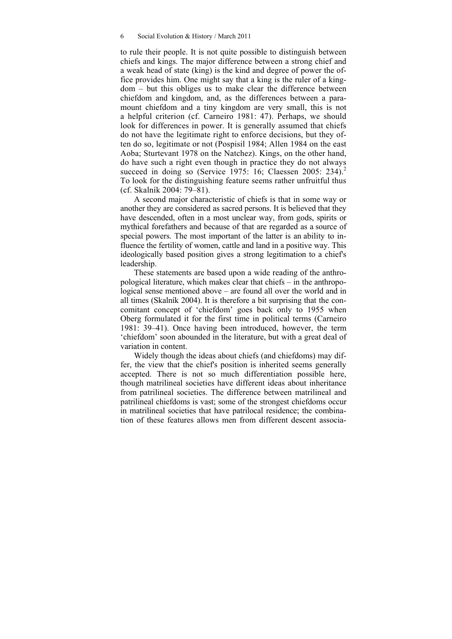to rule their people. It is not quite possible to distinguish between chiefs and kings. The major difference between a strong chief and a weak head of state (king) is the kind and degree of power the office provides him. One might say that a king is the ruler of a kingdom – but this obliges us to make clear the difference between chiefdom and kingdom, and, as the differences between a paramount chiefdom and a tiny kingdom are very small, this is not a helpful criterion (cf. Carneiro 1981: 47). Perhaps, we should look for differences in power. It is generally assumed that chiefs do not have the legitimate right to enforce decisions, but they often do so, legitimate or not (Pospisil 1984; Allen 1984 on the east Aoba; Sturtevant 1978 on the Natchez). Kings, on the other hand, do have such a right even though in practice they do not always succeed in doing so (Service 1975: 16; Claessen 2005: 234).<sup>2</sup> To look for the distinguishing feature seems rather unfruitful thus (cf. Skalník 2004: 79–81).

A second major characteristic of chiefs is that in some way or another they are considered as sacred persons. It is believed that they have descended, often in a most unclear way, from gods, spirits or mythical forefathers and because of that are regarded as a source of special powers. The most important of the latter is an ability to influence the fertility of women, cattle and land in a positive way. This ideologically based position gives a strong legitimation to a chief's leadership.

These statements are based upon a wide reading of the anthropological literature, which makes clear that chiefs – in the anthropological sense mentioned above – are found all over the world and in all times (Skalník 2004). It is therefore a bit surprising that the concomitant concept of 'chiefdom' goes back only to 1955 when Oberg formulated it for the first time in political terms (Carneiro 1981: 39–41). Once having been introduced, however, the term 'chiefdom' soon abounded in the literature, but with a great deal of variation in content.

Widely though the ideas about chiefs (and chiefdoms) may differ, the view that the chief's position is inherited seems generally accepted. There is not so much differentiation possible here, though matrilineal societies have different ideas about inheritance from patrilineal societies. The difference between matrilineal and patrilineal chiefdoms is vast; some of the strongest chiefdoms occur in matrilineal societies that have patrilocal residence; the combination of these features allows men from different descent associa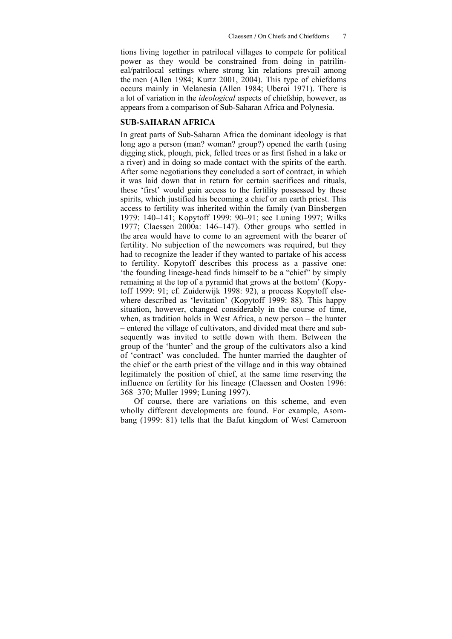tions living together in patrilocal villages to compete for political power as they would be constrained from doing in patrilineal/patrilocal settings where strong kin relations prevail among the men (Allen 1984; Kurtz 2001, 2004). This type of chiefdoms occurs mainly in Melanesia (Allen 1984; Uberoi 1971). There is a lot of variation in the *ideological* aspects of chiefship, however, as appears from a comparison of Sub-Saharan Africa and Polynesia.

#### **SUB-SAHARAN AFRICA**

In great parts of Sub-Saharan Africa the dominant ideology is that long ago a person (man? woman? group?) opened the earth (using digging stick, plough, pick, felled trees or as first fished in a lake or a river) and in doing so made contact with the spirits of the earth. After some negotiations they concluded a sort of contract, in which it was laid down that in return for certain sacrifices and rituals, these 'first' would gain access to the fertility possessed by these spirits, which justified his becoming a chief or an earth priest. This access to fertility was inherited within the family (van Binsbergen 1979: 140–141; Kopytoff 1999: 90–91; see Luning 1997; Wilks 1977; Claessen 2000a: 146–147). Other groups who settled in the area would have to come to an agreement with the bearer of fertility. No subjection of the newcomers was required, but they had to recognize the leader if they wanted to partake of his access to fertility. Kopytoff describes this process as a passive one: 'the founding lineage-head finds himself to be a "chief" by simply remaining at the top of a pyramid that grows at the bottom' (Kopytoff 1999: 91; cf. Zuiderwijk 1998: 92), a process Kopytoff elsewhere described as 'levitation' (Kopytoff 1999: 88). This happy situation, however, changed considerably in the course of time, when, as tradition holds in West Africa, a new person – the hunter – entered the village of cultivators, and divided meat there and subsequently was invited to settle down with them. Between the group of the 'hunter' and the group of the cultivators also a kind of 'contract' was concluded. The hunter married the daughter of the chief or the earth priest of the village and in this way obtained legitimately the position of chief, at the same time reserving the influence on fertility for his lineage (Claessen and Oosten 1996: 368–370; Muller 1999; Luning 1997).

Of course, there are variations on this scheme, and even wholly different developments are found. For example, Asombang (1999: 81) tells that the Bafut kingdom of West Cameroon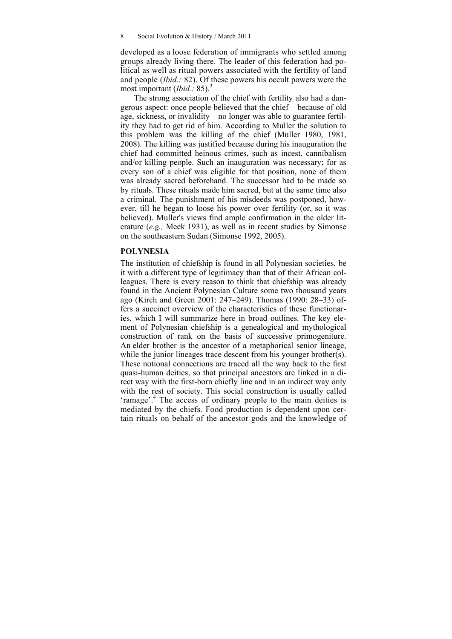developed as a loose federation of immigrants who settled among groups already living there. The leader of this federation had political as well as ritual powers associated with the fertility of land and people (*Ibid.:* 82). Of these powers his occult powers were the most important (*Ibid.:* 85).<sup>3</sup>

The strong association of the chief with fertility also had a dangerous aspect: once people believed that the chief – because of old age, sickness, or invalidity – no longer was able to guarantee fertility they had to get rid of him. According to Muller the solution to this problem was the killing of the chief (Muller 1980, 1981, 2008). The killing was justified because during his inauguration the chief had committed heinous crimes, such as incest, cannibalism and/or killing people. Such an inauguration was necessary; for as every son of a chief was eligible for that position, none of them was already sacred beforehand. The successor had to be made so by rituals. These rituals made him sacred, but at the same time also a criminal. The punishment of his misdeeds was postponed, however, till he began to loose his power over fertility (or, so it was believed). Muller's views find ample confirmation in the older literature (*e.g.,* Meek 1931), as well as in recent studies by Simonse on the southeastern Sudan (Simonse 1992, 2005).

#### **POLYNESIA**

The institution of chiefship is found in all Polynesian societies, be it with a different type of legitimacy than that of their African colleagues. There is every reason to think that chiefship was already found in the Ancient Polynesian Culture some two thousand years ago (Kirch and Green 2001: 247–249). Thomas (1990: 28–33) offers a succinct overview of the characteristics of these functionaries, which I will summarize here in broad outlines. The key element of Polynesian chiefship is a genealogical and mythological construction of rank on the basis of successive primogeniture. An elder brother is the ancestor of a metaphorical senior lineage, while the junior lineages trace descent from his younger brother(s). These notional connections are traced all the way back to the first quasi-human deities, so that principal ancestors are linked in a direct way with the first-born chiefly line and in an indirect way only with the rest of society. This social construction is usually called 'ramage'.<sup>4</sup> The access of ordinary people to the main deities is mediated by the chiefs. Food production is dependent upon certain rituals on behalf of the ancestor gods and the knowledge of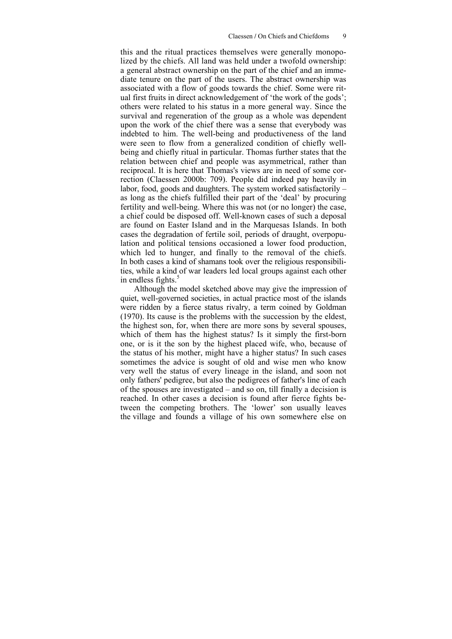this and the ritual practices themselves were generally monopolized by the chiefs. All land was held under a twofold ownership: a general abstract ownership on the part of the chief and an immediate tenure on the part of the users. The abstract ownership was associated with a flow of goods towards the chief. Some were ritual first fruits in direct acknowledgement of 'the work of the gods'; others were related to his status in a more general way. Since the survival and regeneration of the group as a whole was dependent upon the work of the chief there was a sense that everybody was indebted to him. The well-being and productiveness of the land were seen to flow from a generalized condition of chiefly wellbeing and chiefly ritual in particular. Thomas further states that the relation between chief and people was asymmetrical, rather than reciprocal. It is here that Thomas's views are in need of some correction (Claessen 2000b: 709). People did indeed pay heavily in labor, food, goods and daughters. The system worked satisfactorily – as long as the chiefs fulfilled their part of the 'deal' by procuring fertility and well-being. Where this was not (or no longer) the case, a chief could be disposed off. Well-known cases of such a deposal are found on Easter Island and in the Marquesas Islands. In both cases the degradation of fertile soil, periods of draught, overpopulation and political tensions occasioned a lower food production, which led to hunger, and finally to the removal of the chiefs. In both cases a kind of shamans took over the religious responsibilities, while a kind of war leaders led local groups against each other in endless fights. $\frac{5}{3}$ 

Although the model sketched above may give the impression of quiet, well-governed societies, in actual practice most of the islands were ridden by a fierce status rivalry, a term coined by Goldman (1970). Its cause is the problems with the succession by the eldest, the highest son, for, when there are more sons by several spouses, which of them has the highest status? Is it simply the first-born one, or is it the son by the highest placed wife, who, because of the status of his mother, might have a higher status? In such cases sometimes the advice is sought of old and wise men who know very well the status of every lineage in the island, and soon not only fathers' pedigree, but also the pedigrees of father's line of each of the spouses are investigated – and so on, till finally a decision is reached. In other cases a decision is found after fierce fights between the competing brothers. The 'lower' son usually leaves the village and founds a village of his own somewhere else on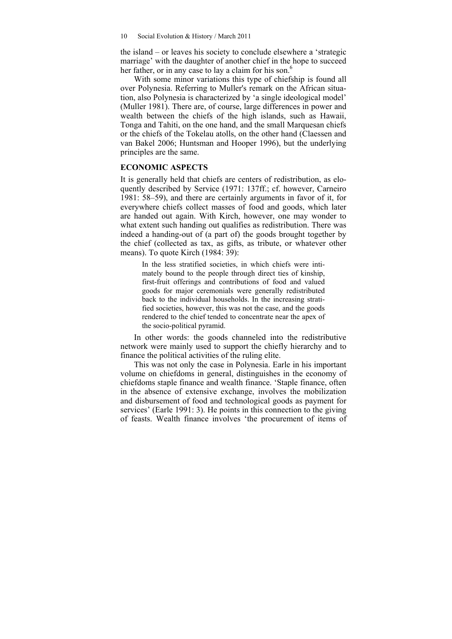the island – or leaves his society to conclude elsewhere a 'strategic marriage' with the daughter of another chief in the hope to succeed her father, or in any case to lay a claim for his son. $<sup>6</sup>$ </sup>

With some minor variations this type of chiefship is found all over Polynesia. Referring to Muller's remark on the African situation, also Polynesia is characterized by 'a single ideological model' (Muller 1981). There are, of course, large differences in power and wealth between the chiefs of the high islands, such as Hawaii, Tonga and Tahiti, on the one hand, and the small Marquesan chiefs or the chiefs of the Tokelau atolls, on the other hand (Claessen and van Bakel 2006; Huntsman and Hooper 1996), but the underlying principles are the same.

### **ECONOMIC ASPECTS**

It is generally held that chiefs are centers of redistribution, as eloquently described by Service (1971: 137ff.; cf. however, Carneiro 1981: 58–59), and there are certainly arguments in favor of it, for everywhere chiefs collect masses of food and goods, which later are handed out again. With Kirch, however, one may wonder to what extent such handing out qualifies as redistribution. There was indeed a handing-out of (a part of) the goods brought together by the chief (collected as tax, as gifts, as tribute, or whatever other means). To quote Kirch (1984: 39):

In the less stratified societies, in which chiefs were intimately bound to the people through direct ties of kinship, first-fruit offerings and contributions of food and valued goods for major ceremonials were generally redistributed back to the individual households. In the increasing stratified societies, however, this was not the case, and the goods rendered to the chief tended to concentrate near the apex of the socio-political pyramid.

In other words: the goods channeled into the redistributive network were mainly used to support the chiefly hierarchy and to finance the political activities of the ruling elite.

This was not only the case in Polynesia. Earle in his important volume on chiefdoms in general, distinguishes in the economy of chiefdoms staple finance and wealth finance. 'Staple finance, often in the absence of extensive exchange, involves the mobilization and disbursement of food and technological goods as payment for services' (Earle 1991: 3). He points in this connection to the giving of feasts. Wealth finance involves 'the procurement of items of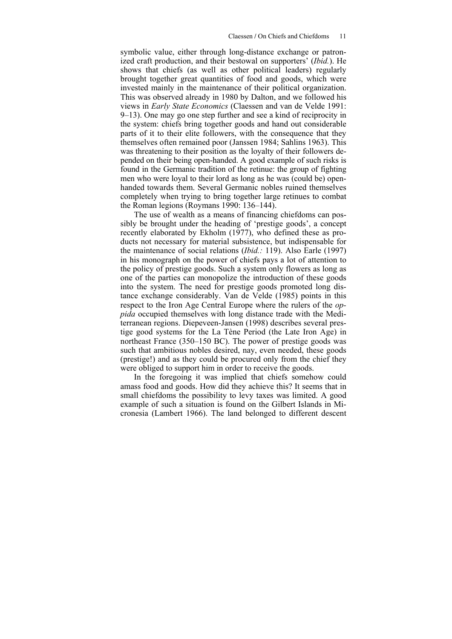symbolic value, either through long-distance exchange or patronized craft production, and their bestowal on supporters' (*Ibid.*). He shows that chiefs (as well as other political leaders) regularly brought together great quantities of food and goods, which were invested mainly in the maintenance of their political organization. This was observed already in 1980 by Dalton, and we followed his views in *Early State Economics* (Claessen and van de Velde 1991: 9–13). One may go one step further and see a kind of reciprocity in the system: chiefs bring together goods and hand out considerable parts of it to their elite followers, with the consequence that they themselves often remained poor (Janssen 1984; Sahlins 1963). This was threatening to their position as the loyalty of their followers depended on their being open-handed. A good example of such risks is found in the Germanic tradition of the retinue: the group of fighting men who were loyal to their lord as long as he was (could be) openhanded towards them. Several Germanic nobles ruined themselves completely when trying to bring together large retinues to combat the Roman legions (Roymans 1990: 136–144).

The use of wealth as a means of financing chiefdoms can possibly be brought under the heading of 'prestige goods', a concept recently elaborated by Ekholm (1977), who defined these as products not necessary for material subsistence, but indispensable for the maintenance of social relations (*Ibid.:* 119). Also Earle (1997) in his monograph on the power of chiefs pays a lot of attention to the policy of prestige goods. Such a system only flowers as long as one of the parties can monopolize the introduction of these goods into the system. The need for prestige goods promoted long distance exchange considerably. Van de Velde (1985) points in this respect to the Iron Age Central Europe where the rulers of the *oppida* occupied themselves with long distance trade with the Mediterranean regions. Diepeveen-Jansen (1998) describes several prestige good systems for the La Tène Period (the Late Iron Age) in northeast France (350–150 BC). The power of prestige goods was such that ambitious nobles desired, nay, even needed, these goods (prestige!) and as they could be procured only from the chief they were obliged to support him in order to receive the goods.

In the foregoing it was implied that chiefs somehow could amass food and goods. How did they achieve this? It seems that in small chiefdoms the possibility to levy taxes was limited. A good example of such a situation is found on the Gilbert Islands in Micronesia (Lambert 1966). The land belonged to different descent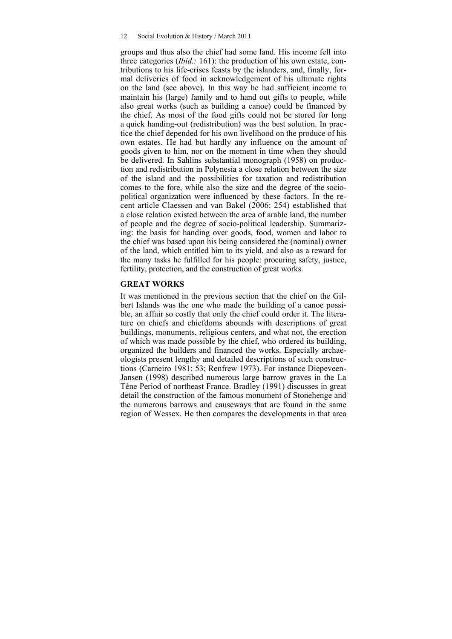groups and thus also the chief had some land. His income fell into three categories (*Ibid.:* 161): the production of his own estate, contributions to his life-crises feasts by the islanders, and, finally, formal deliveries of food in acknowledgement of his ultimate rights on the land (see above). In this way he had sufficient income to maintain his (large) family and to hand out gifts to people, while also great works (such as building a canoe) could be financed by the chief. As most of the food gifts could not be stored for long a quick handing-out (redistribution) was the best solution. In practice the chief depended for his own livelihood on the produce of his own estates. He had but hardly any influence on the amount of goods given to him, nor on the moment in time when they should be delivered. In Sahlins substantial monograph (1958) on production and redistribution in Polynesia a close relation between the size of the island and the possibilities for taxation and redistribution comes to the fore, while also the size and the degree of the sociopolitical organization were influenced by these factors. In the recent article Claessen and van Bakel (2006: 254) established that a close relation existed between the area of arable land, the number of people and the degree of socio-political leadership. Summarizing: the basis for handing over goods, food, women and labor to the chief was based upon his being considered the (nominal) owner of the land, which entitled him to its yield, and also as a reward for the many tasks he fulfilled for his people: procuring safety, justice, fertility, protection, and the construction of great works.

#### **GREAT WORKS**

It was mentioned in the previous section that the chief on the Gilbert Islands was the one who made the building of a canoe possible, an affair so costly that only the chief could order it. The literature on chiefs and chiefdoms abounds with descriptions of great buildings, monuments, religious centers, and what not, the erection of which was made possible by the chief, who ordered its building, organized the builders and financed the works. Especially archaeologists present lengthy and detailed descriptions of such constructions (Carneiro 1981: 53; Renfrew 1973). For instance Diepeveen-Jansen (1998) described numerous large barrow graves in the La Tène Period of northeast France. Bradley (1991) discusses in great detail the construction of the famous monument of Stonehenge and the numerous barrows and causeways that are found in the same region of Wessex. He then compares the developments in that area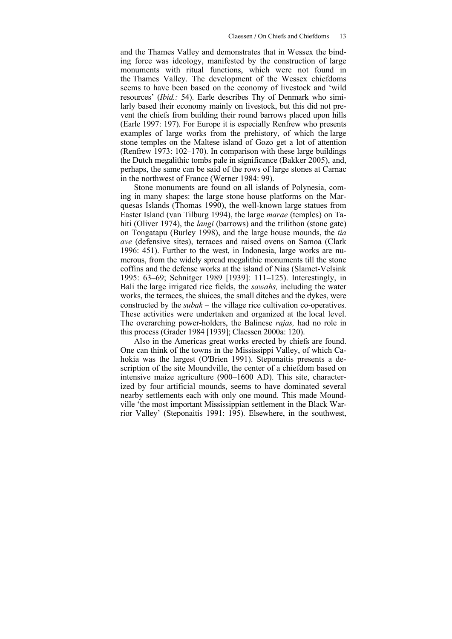and the Thames Valley and demonstrates that in Wessex the binding force was ideology, manifested by the construction of large monuments with ritual functions, which were not found in the Thames Valley. The development of the Wessex chiefdoms seems to have been based on the economy of livestock and 'wild resources' (*Ibid.:* 54). Earle describes Thy of Denmark who similarly based their economy mainly on livestock, but this did not prevent the chiefs from building their round barrows placed upon hills (Earle 1997: 197). For Europe it is especially Renfrew who presents examples of large works from the prehistory, of which the large stone temples on the Maltese island of Gozo get a lot of attention (Renfrew 1973: 102–170). In comparison with these large buildings the Dutch megalithic tombs pale in significance (Bakker 2005), and, perhaps, the same can be said of the rows of large stones at Carnac in the northwest of France (Werner 1984: 99).

Stone monuments are found on all islands of Polynesia, coming in many shapes: the large stone house platforms on the Marquesas Islands (Thomas 1990), the well-known large statues from Easter Island (van Tilburg 1994), the large *marae* (temples) on Tahiti (Oliver 1974), the *langi* (barrows) and the trilithon (stone gate) on Tongatapu (Burley 1998), and the large house mounds, the *tia ave* (defensive sites), terraces and raised ovens on Samoa (Clark 1996: 451). Further to the west, in Indonesia, large works are numerous, from the widely spread megalithic monuments till the stone coffins and the defense works at the island of Nias (Slamet-Velsink 1995: 63–69; Schnitger 1989 [1939]: 111–125). Interestingly, in Bali the large irrigated rice fields, the *sawahs,* including the water works, the terraces, the sluices, the small ditches and the dykes, were constructed by the *subak* – the village rice cultivation co-operatives. These activities were undertaken and organized at the local level. The overarching power-holders, the Balinese *rajas,* had no role in this process (Grader 1984 [1939]; Claessen 2000a: 120).

Also in the Americas great works erected by chiefs are found. One can think of the towns in the Mississippi Valley, of which Cahokia was the largest (O'Brien 1991). Steponaitis presents a description of the site Moundville, the center of a chiefdom based on intensive maize agriculture (900–1600 AD). This site, characterized by four artificial mounds, seems to have dominated several nearby settlements each with only one mound. This made Moundville 'the most important Mississippian settlement in the Black Warrior Valley' (Steponaitis 1991: 195). Elsewhere, in the southwest,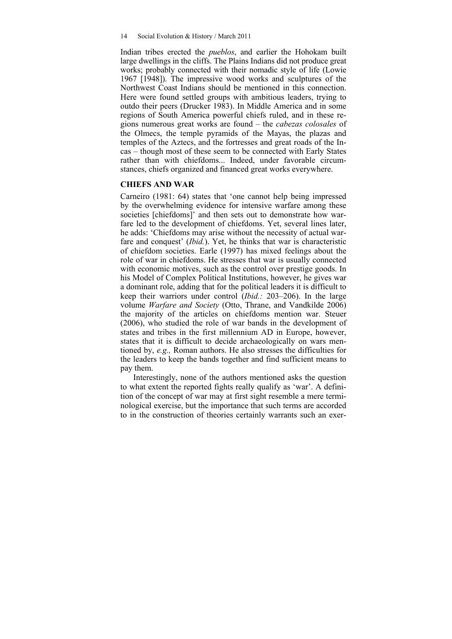Indian tribes erected the *pueblos*, and earlier the Hohokam built large dwellings in the cliffs. The Plains Indians did not produce great works; probably connected with their nomadic style of life (Lowie 1967 [1948]). The impressive wood works and sculptures of the Northwest Coast Indians should be mentioned in this connection. Here were found settled groups with ambitious leaders, trying to outdo their peers (Drucker 1983). In Middle America and in some regions of South America powerful chiefs ruled, and in these regions numerous great works are found – the *cabezas colosales* of the Olmecs, the temple pyramids of the Mayas, the plazas and temples of the Aztecs, and the fortresses and great roads of the Incas – though most of these seem to be connected with Early States rather than with chiefdoms... Indeed, under favorable circumstances, chiefs organized and financed great works everywhere.

#### **CHIEFS AND WAR**

Carneiro (1981: 64) states that 'one cannot help being impressed by the overwhelming evidence for intensive warfare among these societies [chiefdoms]' and then sets out to demonstrate how warfare led to the development of chiefdoms. Yet, several lines later, he adds: 'Chiefdoms may arise without the necessity of actual warfare and conquest' (*Ibid.*). Yet, he thinks that war is characteristic of chiefdom societies. Earle (1997) has mixed feelings about the role of war in chiefdoms. He stresses that war is usually connected with economic motives, such as the control over prestige goods. In his Model of Complex Political Institutions, however, he gives war a dominant role, adding that for the political leaders it is difficult to keep their warriors under control (*Ibid.:* 203–206). In the large volume *Warfare and Society* (Otto, Thrane, and Vandkilde 2006) the majority of the articles on chiefdoms mention war. Steuer (2006), who studied the role of war bands in the development of states and tribes in the first millennium AD in Europe, however, states that it is difficult to decide archaeologically on wars mentioned by, *e.g.,* Roman authors. He also stresses the difficulties for the leaders to keep the bands together and find sufficient means to pay them.

Interestingly, none of the authors mentioned asks the question to what extent the reported fights really qualify as 'war'. A definition of the concept of war may at first sight resemble a mere terminological exercise, but the importance that such terms are accorded to in the construction of theories certainly warrants such an exer-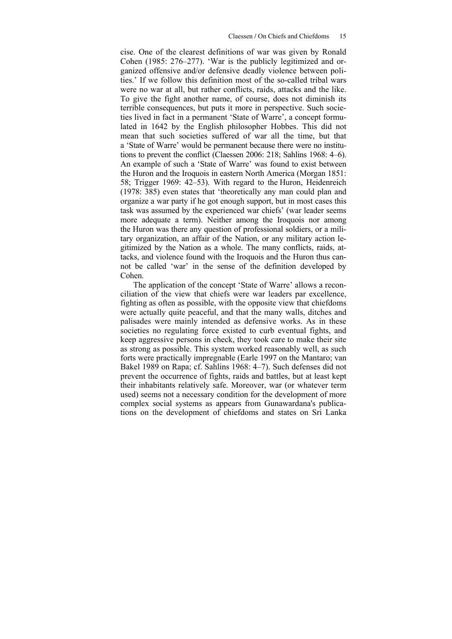cise. One of the clearest definitions of war was given by Ronald Cohen (1985: 276–277). 'War is the publicly legitimized and organized offensive and/or defensive deadly violence between polities.' If we follow this definition most of the so-called tribal wars were no war at all, but rather conflicts, raids, attacks and the like. To give the fight another name, of course, does not diminish its terrible consequences, but puts it more in perspective. Such societies lived in fact in a permanent 'State of Warre', a concept formulated in 1642 by the English philosopher Hobbes. This did not mean that such societies suffered of war all the time, but that a 'State of Warre' would be permanent because there were no institutions to prevent the conflict (Claessen 2006: 218; Sahlins 1968: 4–6). An example of such a 'State of Warre' was found to exist between the Huron and the Iroquois in eastern North America (Morgan 1851: 58; Trigger 1969: 42–53). With regard to the Huron, Heidenreich (1978: 385) even states that 'theoretically any man could plan and organize a war party if he got enough support, but in most cases this task was assumed by the experienced war chiefs' (war leader seems more adequate a term). Neither among the Iroquois nor among the Huron was there any question of professional soldiers, or a military organization, an affair of the Nation, or any military action legitimized by the Nation as a whole. The many conflicts, raids, attacks, and violence found with the Iroquois and the Huron thus cannot be called 'war' in the sense of the definition developed by Cohen.

The application of the concept 'State of Warre' allows a reconciliation of the view that chiefs were war leaders par excellence, fighting as often as possible, with the opposite view that chiefdoms were actually quite peaceful, and that the many walls, ditches and palisades were mainly intended as defensive works. As in these societies no regulating force existed to curb eventual fights, and keep aggressive persons in check, they took care to make their site as strong as possible. This system worked reasonably well, as such forts were practically impregnable (Earle 1997 on the Mantaro; van Bakel 1989 on Rapa; cf. Sahlins 1968: 4–7). Such defenses did not prevent the occurrence of fights, raids and battles, but at least kept their inhabitants relatively safe. Moreover, war (or whatever term used) seems not a necessary condition for the development of more complex social systems as appears from Gunawardana's publications on the development of chiefdoms and states on Sri Lanka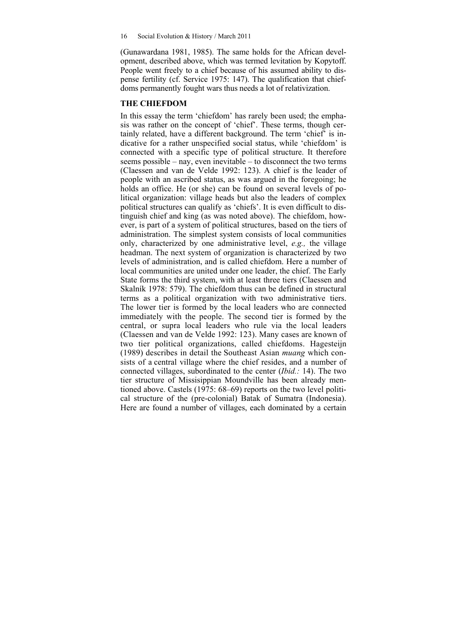(Gunawardana 1981, 1985). The same holds for the African development, described above, which was termed levitation by Kopytoff. People went freely to a chief because of his assumed ability to dispense fertility (cf. Service 1975: 147). The qualification that chiefdoms permanently fought wars thus needs a lot of relativization.

# **THE CHIEFDOM**

In this essay the term 'chiefdom' has rarely been used; the emphasis was rather on the concept of 'chief'. These terms, though certainly related, have a different background. The term 'chief' is indicative for a rather unspecified social status, while 'chiefdom' is connected with a specific type of political structure. It therefore seems possible – nay, even inevitable – to disconnect the two terms (Claessen and van de Velde 1992: 123). A chief is the leader of people with an ascribed status, as was argued in the foregoing; he holds an office. He (or she) can be found on several levels of political organization: village heads but also the leaders of complex political structures can qualify as 'chiefs'. It is even difficult to distinguish chief and king (as was noted above). The chiefdom, however, is part of a system of political structures, based on the tiers of administration. The simplest system consists of local communities only, characterized by one administrative level, *e.g.,* the village headman. The next system of organization is characterized by two levels of administration, and is called chiefdom. Here a number of local communities are united under one leader, the chief. The Early State forms the third system, with at least three tiers (Claessen and Skalník 1978: 579). The chiefdom thus can be defined in structural terms as a political organization with two administrative tiers. The lower tier is formed by the local leaders who are connected immediately with the people. The second tier is formed by the central, or supra local leaders who rule via the local leaders (Claessen and van de Velde 1992: 123). Many cases are known of two tier political organizations, called chiefdoms. Hagesteijn (1989) describes in detail the Southeast Asian *muang* which consists of a central village where the chief resides, and a number of connected villages, subordinated to the center (*Ibid.:* 14). The two tier structure of Missisippian Moundville has been already mentioned above. Castels (1975: 68–69) reports on the two level political structure of the (pre-colonial) Batak of Sumatra (Indonesia). Here are found a number of villages, each dominated by a certain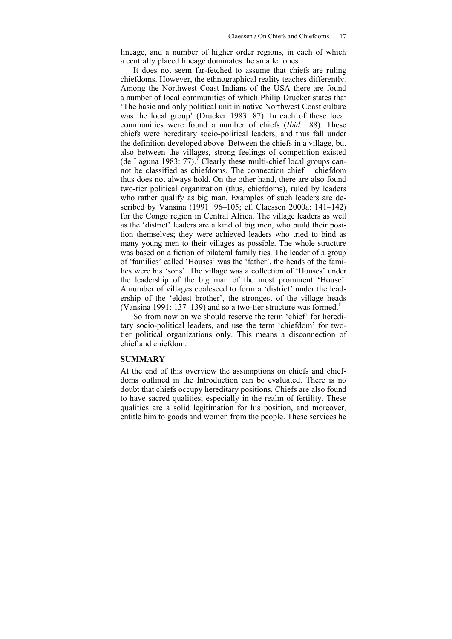lineage, and a number of higher order regions, in each of which a centrally placed lineage dominates the smaller ones.

It does not seem far-fetched to assume that chiefs are ruling chiefdoms. However, the ethnographical reality teaches differently. Among the Northwest Coast Indians of the USA there are found a number of local communities of which Philip Drucker states that 'The basic and only political unit in native Northwest Coast culture was the local group' (Drucker 1983: 87). In each of these local communities were found a number of chiefs (*Ibid.:* 88). These chiefs were hereditary socio-political leaders, and thus fall under the definition developed above. Between the chiefs in a village, but also between the villages, strong feelings of competition existed (de Laguna 1983: 77).<sup> $\tau$ </sup>Clearly these multi-chief local groups cannot be classified as chiefdoms. The connection chief – chiefdom thus does not always hold. On the other hand, there are also found two-tier political organization (thus, chiefdoms), ruled by leaders who rather qualify as big man. Examples of such leaders are described by Vansina (1991: 96–105; cf. Claessen 2000a: 141–142) for the Congo region in Central Africa. The village leaders as well as the 'district' leaders are a kind of big men, who build their position themselves; they were achieved leaders who tried to bind as many young men to their villages as possible. The whole structure was based on a fiction of bilateral family ties. The leader of a group of 'families' called 'Houses' was the 'father', the heads of the families were his 'sons'. The village was a collection of 'Houses' under the leadership of the big man of the most prominent 'House'. A number of villages coalesced to form a 'district' under the leadership of the 'eldest brother', the strongest of the village heads (Vansina 1991: 137–139) and so a two-tier structure was formed.<sup>8</sup>

So from now on we should reserve the term 'chief' for hereditary socio-political leaders, and use the term 'chiefdom' for twotier political organizations only. This means a disconnection of chief and chiefdom.

#### **SUMMARY**

At the end of this overview the assumptions on chiefs and chiefdoms outlined in the Introduction can be evaluated. There is no doubt that chiefs occupy hereditary positions. Chiefs are also found to have sacred qualities, especially in the realm of fertility. These qualities are a solid legitimation for his position, and moreover, entitle him to goods and women from the people. These services he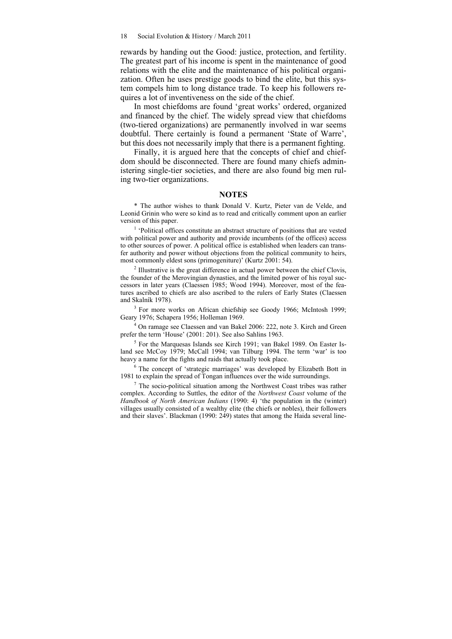rewards by handing out the Good: justice, protection, and fertility. The greatest part of his income is spent in the maintenance of good relations with the elite and the maintenance of his political organization. Often he uses prestige goods to bind the elite, but this system compels him to long distance trade. To keep his followers requires a lot of inventiveness on the side of the chief.

In most chiefdoms are found 'great works' ordered, organized and financed by the chief. The widely spread view that chiefdoms (two-tiered organizations) are permanently involved in war seems doubtful. There certainly is found a permanent 'State of Warre', but this does not necessarily imply that there is a permanent fighting.

Finally, it is argued here that the concepts of chief and chiefdom should be disconnected. There are found many chiefs administering single-tier societies, and there are also found big men ruling two-tier organizations.

#### **NOTES**

\* The author wishes to thank Donald V. Kurtz, Pieter van de Velde, and Leonid Grinin who were so kind as to read and critically comment upon an earlier version of this paper.

<sup>1</sup> Political offices constitute an abstract structure of positions that are vested with political power and authority and provide incumbents (of the offices) access to other sources of power. A political office is established when leaders can transfer authority and power without objections from the political community to heirs, most commonly eldest sons (primogeniture)' (Kurtz 2001: 54). 2

 $\alpha$ <sup>2</sup> Illustrative is the great difference in actual power between the chief Clovis, the founder of the Merovingian dynasties, and the limited power of his royal successors in later years (Claessen 1985; Wood 1994). Moreover, most of the features ascribed to chiefs are also ascribed to the rulers of Early States (Claessen and Skalník 1978).<br><sup>3</sup> For more works on African chiefship see Goody 1966; McIntosh 1999;

Geary 1976; Schapera 1956; Holleman 1969. 4

 On ramage see Claessen and van Bakel 2006: 222, note 3. Kirch and Green prefer the term 'House' (2001: 201). See also Sahlins 1963.

<sup>5</sup> For the Marquesas Islands see Kirch 1991; van Bakel 1989. On Easter Island see McCoy 1979; McCall 1994; van Tilburg 1994. The term 'war' is too heavy a name for the fights and raids that actually took place.<br><sup>6</sup> The concept of 'strategic marriages' was developed by Elizabeth Bott in

1981 to explain the spread of Tongan influences over the wide surroundings. 7

 $\frac{7}{1}$  The socio-political situation among the Northwest Coast tribes was rather complex. According to Suttles, the editor of the *Northwest Coast* volume of the *Handbook of North American Indians* (1990: 4) 'the population in the (winter) villages usually consisted of a wealthy elite (the chiefs or nobles), their followers and their slaves'. Blackman (1990: 249) states that among the Haida several line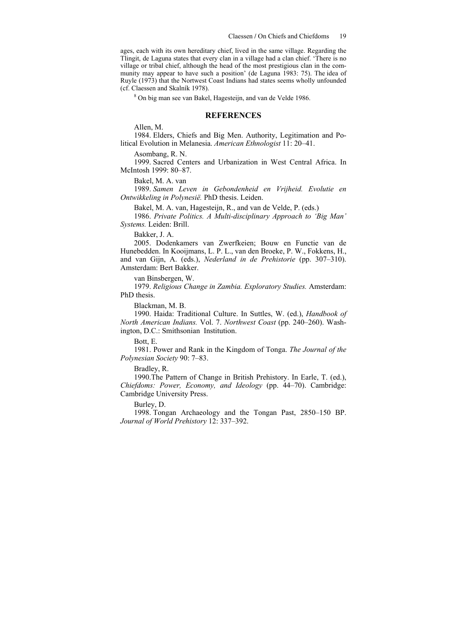ages, each with its own hereditary chief, lived in the same village. Regarding the Tlingit, de Laguna states that every clan in a village had a clan chief. 'There is no village or tribal chief, although the head of the most prestigious clan in the community may appear to have such a position' (de Laguna 1983: 75). The idea of Ruyle (1973) that the Nortwest Coast Indians had states seems wholly unfounded (cf. Claessen and Skalník 1978).

On big man see van Bakel, Hagesteijn, and van de Velde 1986.

#### **REFERENCES**

Allen, M.

1984. Elders, Chiefs and Big Men. Authority, Legitimation and Political Evolution in Melanesia. *American Ethnologist* 11: 20–41.

Asombang, R. N.

1999. Sacred Centers and Urbanization in West Central Africa. In McIntosh 1999: 80–87.

Bakel, M. A. van

1989. *Samen Leven in Gebondenheid en Vrijheid. Evolutie en Ontwikkeling in Polynesië.* PhD thesis. Leiden.

Bakel, M. A. van, Hagesteijn, R., and van de Velde, P. (eds.)

1986. *Private Politics. A Multi-disciplinary Approach to 'Big Man' Systems.* Leiden: Brill.

Bakker, J. A.

2005. Dodenkamers van Zwerfkeien; Bouw en Functie van de Hunebedden. In Kooijmans, L. P. L., van den Broeke, P. W., Fokkens, H., and van Gijn, A. (eds.), *Nederland in de Prehistorie* (pp. 307–310). Amsterdam: Bert Bakker.

van Binsbergen, W.

1979. *Religious Change in Zambia. Exploratory Studies.* Amsterdam: PhD thesis.

Blackman, M. B.

1990. Haida: Traditional Culture. In Suttles, W. (ed.), *Handbook of North American Indians.* Vol. 7. *Northwest Coast* (pp. 240–260). Washington, D.C.: Smithsonian Institution.

Bott, E.

1981. Power and Rank in the Kingdom of Tonga. *The Journal of the Polynesian Society* 90: 7–83.

Bradley, R.

1990.The Pattern of Change in British Prehistory. In Earle, T. (ed.), *Chiefdoms: Power, Economy, and Ideology* (pp. 44–70). Cambridge: Cambridge University Press.

Burley, D.

1998. Tongan Archaeology and the Tongan Past, 2850–150 BP. *Journal of World Prehistory* 12: 337–392.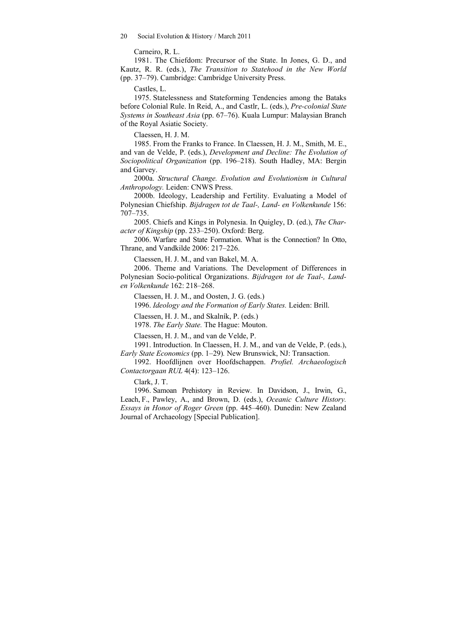Carneiro, R. L.

1981. The Chiefdom: Precursor of the State. In Jones, G. D., and Kautz, R. R. (eds.), *The Transition to Statehood in the New World* (pp. 37–79). Cambridge: Cambridge University Press.

Castles, L.

1975. Statelessness and Stateforming Tendencies among the Bataks before Colonial Rule. In Reid, A., and Castlr, L. (eds.), *Pre-colonial State Systems in Southeast Asia* (pp. 67–76). Kuala Lumpur: Malaysian Branch of the Royal Asiatic Society.

Claessen, H. J. M.

1985. From the Franks to France. In Claessen, H. J. M., Smith, M. E., and van de Velde, P. (eds.), *Development and Decline: The Evolution of Sociopolitical Organization* (pp. 196–218). South Hadley, MA: Bergin and Garvey.

2000a. *Structural Change. Evolution and Evolutionism in Cultural Anthropology.* Leiden: CNWS Press.

2000b. Ideology, Leadership and Fertility. Evaluating a Model of Polynesian Chiefship. *Bijdragen tot de Taal-, Land- en Volkenkunde* 156: 707–735.

2005. Chiefs and Kings in Polynesia. In Quigley, D. (ed.), *The Character of Kingship* (pp. 233–250). Oxford: Berg.

2006. Warfare and State Formation. What is the Connection? In Otto, Thrane, and Vandkilde 2006: 217–226.

Claessen, H. J. M., and van Bakel, M. A.

2006. Theme and Variations. The Development of Differences in Polynesian Socio-political Organizations. *Bijdragen tot de Taal-, Landen Volkenkunde* 162: 218–268.

Claessen, H. J. M., and Oosten, J. G. (eds.)

1996. *Ideology and the Formation of Early States.* Leiden: Brill.

Claessen, H. J. M., and Skalník, P. (eds.)

1978. *The Early State.* The Hague: Mouton.

Claessen, H. J. M., and van de Velde, P.

1991. Introduction. In Claessen, H. J. M., and van de Velde, P. (eds.), *Early State Economics* (pp. 1–29)*.* New Brunswick, NJ: Transaction.

1992. Hoofdlijnen over Hoofdschappen. *Profiel. Archaeologisch Contactorgaan RUL* 4(4): 123–126.

Clark, J. T.

1996. Samoan Prehistory in Review. In Davidson, J., Irwin, G., Leach, F., Pawley, A., and Brown, D. (eds.), *Oceanic Culture History. Essays in Honor of Roger Green* (pp. 445–460). Dunedin: New Zealand Journal of Archaeology [Special Publication].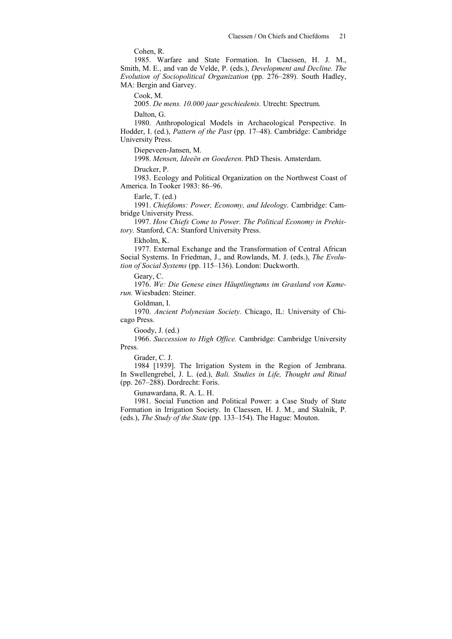Cohen, R.

1985. Warfare and State Formation. In Claessen, H. J. M., Smith, M. E., and van de Velde, P. (eds.), *Development and Decline. The Evolution of Sociopolitical Organization* (pp. 276–289). South Hadley, MA: Bergin and Garvey.

Cook, M.

2005. *De mens. 10.000 jaar geschiedenis.* Utrecht: Spectrum.

Dalton, G.

1980. Anthropological Models in Archaeological Perspective. In Hodder, I. (ed.), *Pattern of the Past* (pp. 17–48). Cambridge: Cambridge University Press.

Diepeveen-Jansen, M.

1998. *Mensen, Ideeën en Goederen.* PhD Thesis. Amsterdam.

Drucker, P.

1983. Ecology and Political Organization on the Northwest Coast of America. In Tooker 1983: 86–96.

Earle, T. (ed.)

1991. *Chiefdoms: Power, Economy, and Ideology.* Cambridge: Cambridge University Press.

1997. *How Chiefs Come to Power. The Political Economy in Prehistory.* Stanford, CA: Stanford University Press.

Ekholm, K.

1977. External Exchange and the Transformation of Central African Social Systems. In Friedman, J., and Rowlands, M. J. (eds.), *The Evolution of Social Systems* (pp. 115–136). London: Duckworth.

Geary, C.

1976. *We: Die Genese eines Häuptlingtums im Grasland von Kamerun.* Wiesbaden: Steiner.

Goldman, I.

1970. *Ancient Polynesian Society.* Chicago, IL: University of Chicago Press.

Goody, J. (ed.)

1966. *Succession to High Office.* Cambridge: Cambridge University Press.

Grader, C. J.

1984 [1939]. The Irrigation System in the Region of Jembrana. In Swellengrebel, J. L. (ed.), *Bali. Studies in Life, Thought and Ritual*  (pp. 267–288). Dordrecht: Foris.

Gunawardana, R. A. L. H.

1981. Social Function and Political Power: a Case Study of State Formation in Irrigation Society. In Claessen, H. J. M., and Skalník, P. (eds.), *The Study of the State* (pp. 133–154). The Hague: Mouton.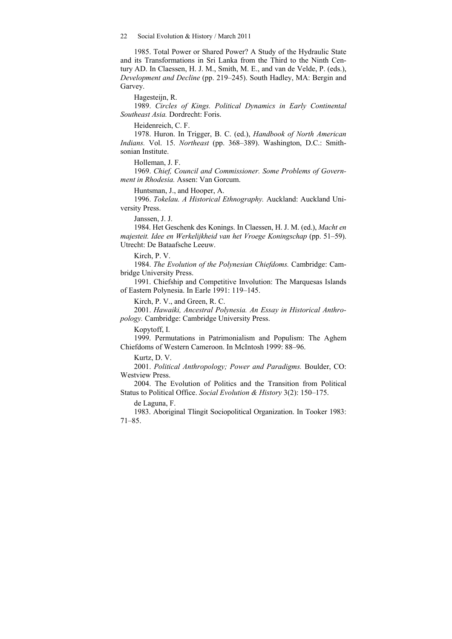1985. Total Power or Shared Power? A Study of the Hydraulic State and its Transformations in Sri Lanka from the Third to the Ninth Century AD. In Claessen, H. J. M., Smith, M. E., and van de Velde, P. (eds.), *Development and Decline* (pp. 219–245). South Hadley, MA: Bergin and Garvey.

Hagesteijn, R.

1989. *Circles of Kings. Political Dynamics in Early Continental Southeast Asia.* Dordrecht: Foris.

Heidenreich, C. F.

1978. Huron. In Trigger, B. C. (ed.), *Handbook of North American Indians.* Vol. 15. *Northeast* (pp. 368–389). Washington, D.C.: Smithsonian Institute.

Holleman, J. F.

1969. *Chief, Council and Commissioner. Some Problems of Government in Rhodesia.* Assen: Van Gorcum.

Huntsman, J., and Hooper, A.

1996. *Tokelau. A Historical Ethnography.* Auckland: Auckland University Press.

Janssen, J. J.

1984. Het Geschenk des Konings. In Claessen, H. J. M. (ed.), *Macht en majesteit. Idee en Werkelijkheid van het Vroege Koningschap* (рp. 51–59). Utrecht: De Bataafsche Leeuw.

Kirch, P. V.

1984. *The Evolution of the Polynesian Chiefdoms.* Cambridge: Cambridge University Press.

1991. Chiefship and Competitive Involution: The Marquesas Islands of Eastern Polynesia. In Earle 1991: 119–145.

Kirch, P. V., and Green, R. C.

2001. *Hawaiki, Ancestral Polynesia. An Essay in Historical Anthropology.* Cambridge: Cambridge University Press.

Kopytoff, I.

1999. Permutations in Patrimonialism and Populism: The Aghem Chiefdoms of Western Cameroon. In McIntosh 1999: 88–96.

Kurtz, D. V.

2001. *Political Anthropology; Power and Paradigms.* Boulder, CO: Westview Press.

2004. The Evolution of Politics and the Transition from Political Status to Political Office. *Social Evolution & History* 3(2): 150–175.

de Laguna, F.

1983. Aboriginal Tlingit Sociopolitical Organization. In Tooker 1983: 71–85.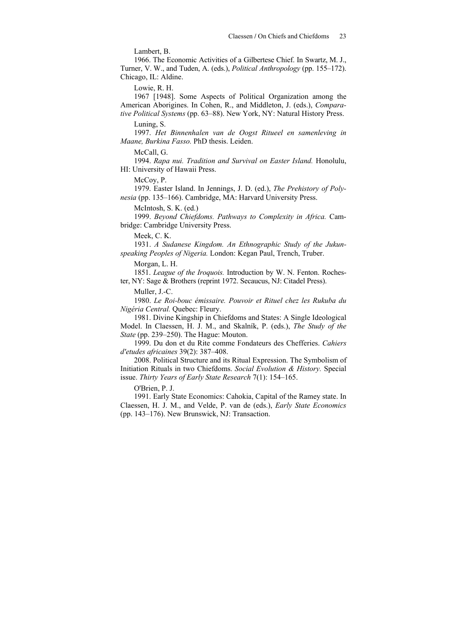Lambert, B.

1966. The Economic Activities of a Gilbertese Сhief. In Swartz, M. J., Turner, V. W., and Tuden, A. (eds.), *Political Anthropology* (pp. 155–172). Chicago, IL: Aldine.

Lowie, R. H.

1967 [1948]. Some Aspects of Political Organization among the American Aborigines. In Cohen, R., and Middleton, J. (eds.), *Comparative Political Systems* (pp. 63–88). New York, NY: Natural History Press.

Luning, S.

1997. *Het Binnenhalen van de Oogst Ritueel en samenleving in Maane, Burkina Fasso.* PhD thesis. Leiden.

McCall, G.

1994. *Rapa nui. Tradition and Survival on Easter Island.* Honolulu, HI: University of Hawaii Press.

McCoy, P.

1979. Easter Island. In Jennings, J. D. (ed.), *The Prehistory of Polynesia* (pp. 135–166). Cambridge, MA: Harvard University Press.

McIntosh, S. K. (ed.)

1999. *Beyond Chiefdoms. Pathways to Complexity in Africa.* Cambridge: Cambridge University Press.

Meek, C. K.

1931. *A Sudanese Kingdom. An Ethnographic Study of the Jukunspeaking Peoples of Nigeria.* London: Kegan Paul, Trench, Truber.

Morgan, L. H.

1851. *League of the Iroquois.* Introduction by W. N. Fenton. Rochester, NY: Sage & Brothers (reprint 1972. Secaucus, NJ: Citadel Press).

Muller, J.-C.

1980. *Le Roi-bouc émissaire. Pouvoir et Rituel chez les Rukuba du Nigéria Central.* Quebec: Fleury.

1981. Divine Kingship in Chiefdoms and States: A Single Ideological Model. In Claessen, H. J. M., and Skalník, P. (eds.), *The Study of the State* (рр. 239–250). The Hague: Mouton.

1999. Du don et du Rite comme Fondateurs des Chefferies. *Cahiers d'etudes africaines* 39(2): 387–408.

2008. Political Structure and its Ritual Expression. The Symbolism of Initiation Rituals in two Chiefdoms. *Social Evolution & History.* Special issue. *Thirty Years of Early State Research* 7(1): 154–165.

O'Brien, P. J.

1991. Early State Economics: Cahokia, Capital of the Ramey state. In Claessen, H. J. M., and Velde, P. van de (eds.), *Early State Economics* (pp. 143–176). New Brunswick, NJ: Transaction.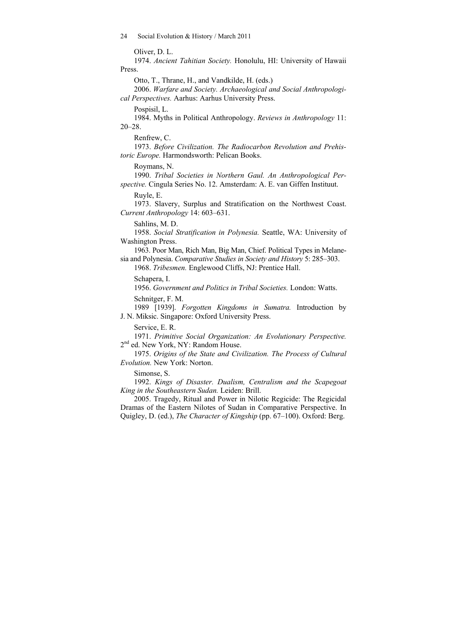Oliver, D. L.

1974. *Ancient Tahitian Society.* Honolulu, HI: University of Hawaii Press.

Otto, T., Thrane, H., and Vandkilde, H. (eds.)

2006. *Warfare and Society. Archaeological and Social Anthropological Perspectives.* Aarhus: Aarhus University Press.

Pospisil, L.

1984. Myths in Political Anthropology. *Reviews in Anthropology* 11: 20–28.

Renfrew, C.

1973. *Before Civilization. The Radiocarbon Revolution and Prehistoric Europe.* Harmondsworth: Pelican Books.

Roymans, N.

1990. *Tribal Societies in Northern Gaul. An Anthropological Perspective.* Cingula Series No. 12. Amsterdam: A. E. van Giffen Instituut.

Ruyle, E.

1973. Slavery, Surplus and Stratification on the Northwest Coast. *Current Anthropology* 14: 603–631.

Sahlins, M. D.

1958. *Social Stratification in Polynesia.* Seattle, WA: University of Washington Press.

1963. Poor Man, Rich Man, Big Man, Chief. Political Types in Melanesia and Polynesia. *Comparative Studies in Society and History* 5: 285–303.

1968. *Tribesmen.* Englewood Cliffs, NJ: Prentice Hall.

Schapera, I.

1956. *Government and Politics in Tribal Societies.* London: Watts.

Schnitger, F. M.

1989 [1939]. *Forgotten Kingdoms in Sumatra.* Introduction by J. N. Miksic. Singapore: Oxford University Press.

Service, E. R.

1971. *Primitive Social Organization: An Evolutionary Perspective.* 2<sup>nd</sup> ed. New York, NY: Random House.

1975. *Origins of the State and Civilization. The Process of Cultural Evolution.* New York: Norton.

Simonse, S.

1992. *Kings of Disaster. Dualism, Centralism and the Scapegoat King in the Southeastern Sudan.* Leiden: Brill.

2005. Tragedy, Ritual and Power in Nilotic Regicide: The Regicidal Dramas of the Eastern Nilotes of Sudan in Comparative Perspective. In Quigley, D. (ed.), *The Character of Kingship* (pp. 67–100). Oxford: Berg.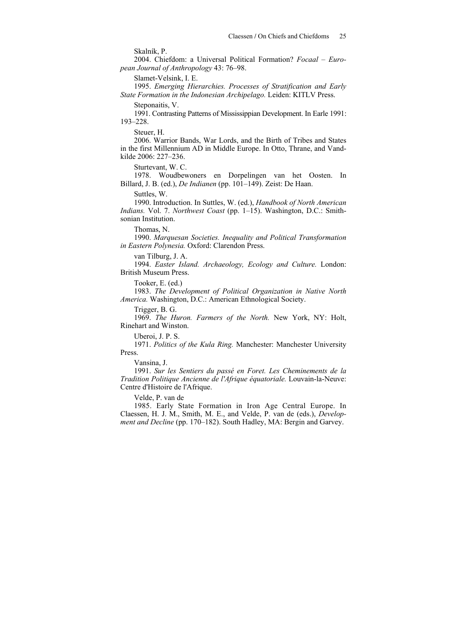Skalník, P.

2004. Chiefdom: a Universal Political Formation? *Focaal – European Journal of Anthropology* 43: 76–98.

Slamet-Velsink, I. E.

1995. *Emerging Hierarchies. Processes of Stratification and Early State Formation in the Indonesian Archipelago.* Leiden: KITLV Press.

Steponaitis, V.

1991. Contrasting Patterns of Mississippian Development. In Earle 1991: 193–228.

Steuer, H.

2006. Warrior Bands, War Lords, and the Birth of Tribes and States in the first Millennium AD in Middle Europe. In Otto, Thrane, and Vandkilde 2006: 227–236.

Sturtevant, W. C.

1978. Woudbewoners en Dorpelingen van het Oosten. In Billard, J. B. (ed.), *De Indianen* (pp. 101–149). Zeist: De Haan.

Suttles, W.

1990. Introduction. In Suttles, W. (ed.), *Handbook of North American Indians.* Vol. 7. *Northwest Coast* (pp. 1–15). Washington, D.C.: Smithsonian Institution.

Thomas, N.

1990. *Marquesan Societies. Inequality and Political Transformation in Eastern Polynesia.* Oxford: Clarendon Press.

van Tilburg, J. A.

1994. *Easter Island. Archaeology, Ecology and Culture.* London: British Museum Press.

Tooker, E. (ed.)

1983. *The Development of Political Organization in Native North America.* Washington, D.C.: American Ethnological Society.

Trigger, B. G.

1969. *The Huron. Farmers of the North.* New York, NY: Holt, Rinehart and Winston.

Uberoi, J. P. S.

1971. *Politics of the Kula Ring.* Manchester: Manchester University Press.

Vansina, J.

1991. *Sur les Sentiers du passé en Foret. Les Cheminements de la Tradition Politique Ancienne de l'Afrique équatoriale.* Louvain-la-Neuve: Centre d'Histoire de l'Afrique.

Velde, P. van de

1985. Early State Formation in Iron Age Central Europe. In Claessen, H. J. M., Smith, M. E., and Velde, P. van de (eds.), *Development and Decline* (pp. 170–182). South Hadley, MA: Bergin and Garvey.